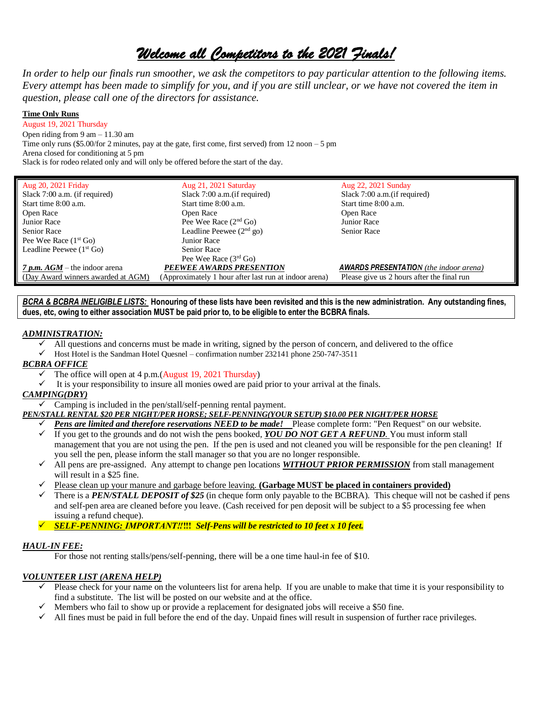# *Welcome all Competitors to the 2021 Finals!*

*In order to help our finals run smoother, we ask the competitors to pay particular attention to the following items. Every attempt has been made to simplify for you, and if you are still unclear, or we have not covered the item in question, please call one of the directors for assistance.* 

#### **Time Only Runs**

August 19, 2021 Thursday Open riding from 9 am – 11.30 am Time only runs (\$5.00/for 2 minutes, pay at the gate, first come, first served) from  $12$  noon  $-5$  pm Arena closed for conditioning at 5 pm Slack is for rodeo related only and will only be offered before the start of the day.

| Aug 20, 2021 Friday                | Aug 21, 2021 Saturday                                 | Aug 22, 2021 Sunday                           |
|------------------------------------|-------------------------------------------------------|-----------------------------------------------|
| Slack 7:00 a.m. (if required)      | Slack 7:00 a.m. (if required)                         | Slack 7:00 a.m. (if required)                 |
| Start time 8:00 a.m.               | Start time 8:00 a.m.                                  | Start time 8:00 a.m.                          |
| Open Race                          | Open Race                                             | Open Race                                     |
| Junior Race                        | Pee Wee Race $(2nd Go)$                               | Junior Race                                   |
| <b>Senior Race</b>                 | Leadline Peewee $(2nd$ go)                            | <b>Senior Race</b>                            |
| Pee Wee Race $(1st Go)$            | Junior Race                                           |                                               |
| Leadline Peewee $(1st Go)$         | <b>Senior Race</b>                                    |                                               |
|                                    | Pee Wee Race $(3rd$ Go)                               |                                               |
| $7 p.m. AGM$ – the indoor arena    | PEEWEE AWARDS PRESENTION                              | <b>AWARDS PRESENTATION</b> (the indoor arena) |
| (Day Award winners awarded at AGM) | (Approximately 1 hour after last run at indoor arena) | Please give us 2 hours after the final run    |

#### *BCRA & BCBRA INELIGIBLE LISTS:* **Honouring of these lists have been revisited and this is the new administration. Any outstanding fines, dues, etc, owing to either association MUST be paid prior to, to be eligible to enter the BCBRA finals.**

#### *ADMINISTRATION:*

- ✓ All questions and concerns must be made in writing, signed by the person of concern, and delivered to the office
- ✓ Host Hotel is the Sandman Hotel Quesnel confirmation number 232141 phone 250-747-3511

#### *BCBRA OFFICE*

- $\checkmark$  The office will open at 4 p.m.(August 19, 2021 Thursday)
- $\checkmark$  It is your responsibility to insure all monies owed are paid prior to your arrival at the finals.

# *CAMPING(DRY)*

 $\checkmark$  Camping is included in the pen/stall/self-penning rental payment.

#### *PEN/STALL RENTAL \$20 PER NIGHT/PER HORSE; SELF-PENNING(YOUR SETUP) \$10.00 PER NIGHT/PER HORSE*

- ✓ *Pens are limited and therefore reservations NEED to be made!* Please complete form: "Pen Request" on our website.
- ✓ If you get to the grounds and do not wish the pens booked, *YOU DO NOT GET A REFUND*. You must inform stall management that you are not using the pen. If the pen is used and not cleaned you will be responsible for the pen cleaning! If you sell the pen, please inform the stall manager so that you are no longer responsible.
- ✓ All pens are pre-assigned. Any attempt to change pen locations *WITHOUT PRIOR PERMISSION* from stall management will result in a \$25 fine.
- ✓ Please clean up your manure and garbage before leaving. **(Garbage MUST be placed in containers provided)**
- ✓ There is a *PEN/STALL DEPOSIT of \$25* (in cheque form only payable to the BCBRA). This cheque will not be cashed if pens and self-pen area are cleaned before you leave. (Cash received for pen deposit will be subject to a \$5 processing fee when issuing a refund cheque).
- ✓ *SELF-PENNING: IMPORTANT‼***‼!** *Self-Pens will be restricted to 10 feet x 10 feet.*

# *HAUL-IN FEE:*

For those not renting stalls/pens/self-penning, there will be a one time haul-in fee of \$10.

# *VOLUNTEER LIST (ARENA HELP)*

- ✓ Please check for your name on the volunteers list for arena help. If you are unable to make that time it is your responsibility to find a substitute. The list will be posted on our website and at the office.
- $\checkmark$  Members who fail to show up or provide a replacement for designated jobs will receive a \$50 fine.
- ✓ All fines must be paid in full before the end of the day. Unpaid fines will result in suspension of further race privileges.